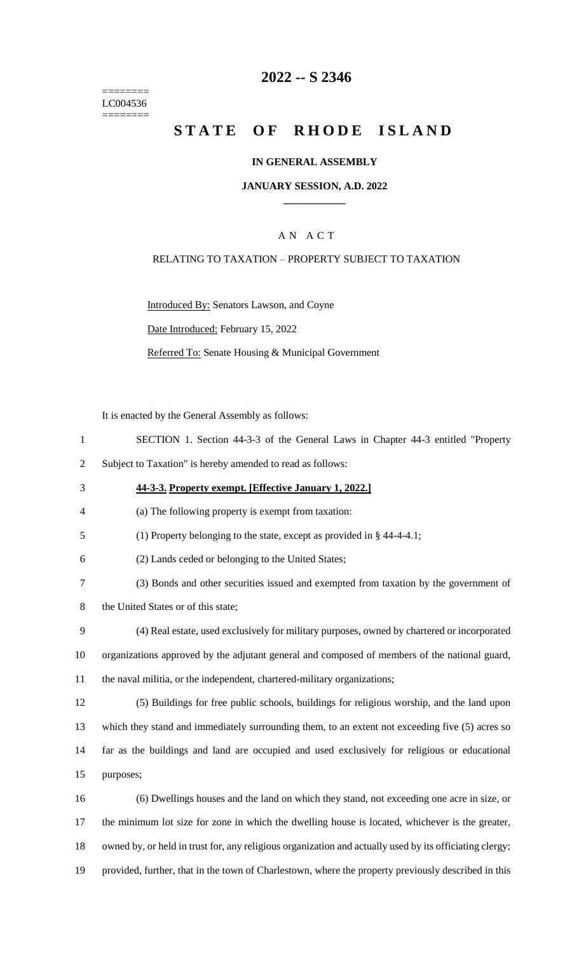======== LC004536 ========

## **2022 -- S 2346**

# **STATE OF RHODE ISLAND**

#### **IN GENERAL ASSEMBLY**

#### **JANUARY SESSION, A.D. 2022 \_\_\_\_\_\_\_\_\_\_\_\_**

### A N A C T

#### RELATING TO TAXATION – PROPERTY SUBJECT TO TAXATION

Introduced By: Senators Lawson, and Coyne

Date Introduced: February 15, 2022

Referred To: Senate Housing & Municipal Government

It is enacted by the General Assembly as follows:

- 1 SECTION 1. Section 44-3-3 of the General Laws in Chapter 44-3 entitled "Property
- 2 Subject to Taxation" is hereby amended to read as follows:
- 3 **44-3-3. Property exempt. [Effective January 1, 2022.]**
- 4 (a) The following property is exempt from taxation:
- 5 (1) Property belonging to the state, except as provided in § 44-4-4.1;
- 6 (2) Lands ceded or belonging to the United States;
- 7 (3) Bonds and other securities issued and exempted from taxation by the government of
- 8 the United States or of this state;
- 9 (4) Real estate, used exclusively for military purposes, owned by chartered or incorporated 10 organizations approved by the adjutant general and composed of members of the national guard, 11 the naval militia, or the independent, chartered-military organizations;
- 12 (5) Buildings for free public schools, buildings for religious worship, and the land upon

13 which they stand and immediately surrounding them, to an extent not exceeding five (5) acres so 14 far as the buildings and land are occupied and used exclusively for religious or educational 15 purposes;

 (6) Dwellings houses and the land on which they stand, not exceeding one acre in size, or the minimum lot size for zone in which the dwelling house is located, whichever is the greater, owned by, or held in trust for, any religious organization and actually used by its officiating clergy; provided, further, that in the town of Charlestown, where the property previously described in this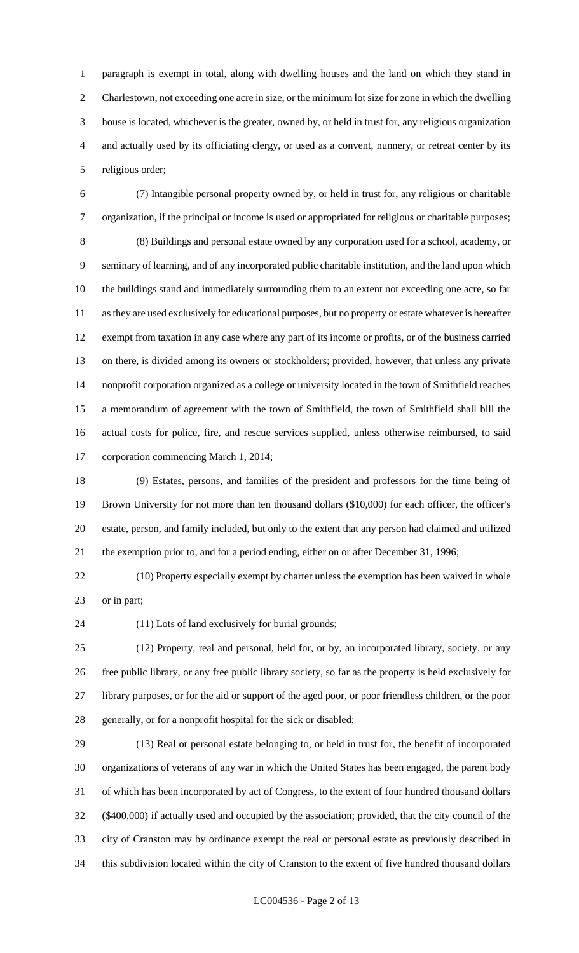paragraph is exempt in total, along with dwelling houses and the land on which they stand in Charlestown, not exceeding one acre in size, or the minimum lot size for zone in which the dwelling house is located, whichever is the greater, owned by, or held in trust for, any religious organization and actually used by its officiating clergy, or used as a convent, nunnery, or retreat center by its religious order;

 (7) Intangible personal property owned by, or held in trust for, any religious or charitable organization, if the principal or income is used or appropriated for religious or charitable purposes; (8) Buildings and personal estate owned by any corporation used for a school, academy, or seminary of learning, and of any incorporated public charitable institution, and the land upon which the buildings stand and immediately surrounding them to an extent not exceeding one acre, so far as they are used exclusively for educational purposes, but no property or estate whatever is hereafter exempt from taxation in any case where any part of its income or profits, or of the business carried on there, is divided among its owners or stockholders; provided, however, that unless any private nonprofit corporation organized as a college or university located in the town of Smithfield reaches a memorandum of agreement with the town of Smithfield, the town of Smithfield shall bill the actual costs for police, fire, and rescue services supplied, unless otherwise reimbursed, to said corporation commencing March 1, 2014;

 (9) Estates, persons, and families of the president and professors for the time being of Brown University for not more than ten thousand dollars (\$10,000) for each officer, the officer's estate, person, and family included, but only to the extent that any person had claimed and utilized the exemption prior to, and for a period ending, either on or after December 31, 1996;

 (10) Property especially exempt by charter unless the exemption has been waived in whole or in part;

(11) Lots of land exclusively for burial grounds;

 (12) Property, real and personal, held for, or by, an incorporated library, society, or any free public library, or any free public library society, so far as the property is held exclusively for library purposes, or for the aid or support of the aged poor, or poor friendless children, or the poor generally, or for a nonprofit hospital for the sick or disabled;

 (13) Real or personal estate belonging to, or held in trust for, the benefit of incorporated organizations of veterans of any war in which the United States has been engaged, the parent body of which has been incorporated by act of Congress, to the extent of four hundred thousand dollars (\$400,000) if actually used and occupied by the association; provided, that the city council of the city of Cranston may by ordinance exempt the real or personal estate as previously described in this subdivision located within the city of Cranston to the extent of five hundred thousand dollars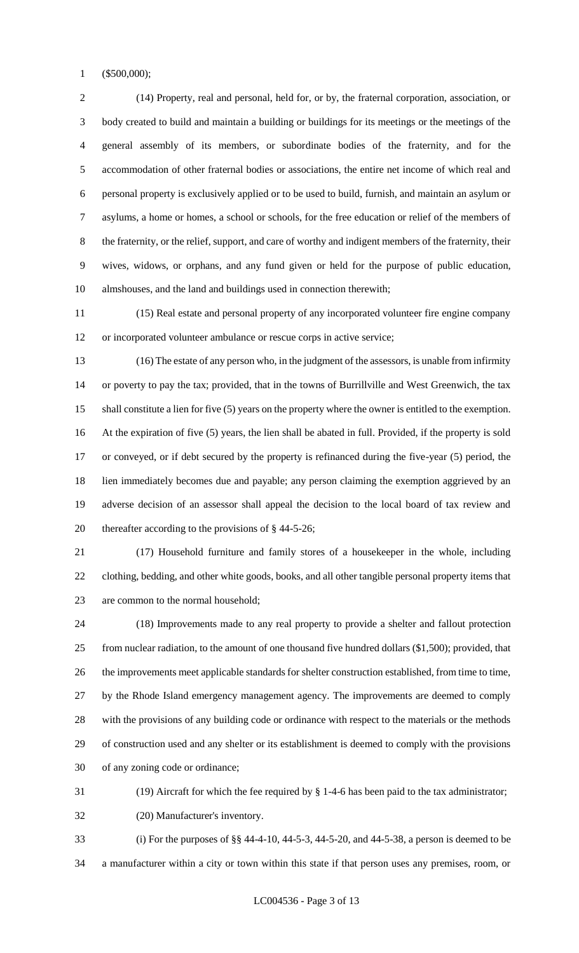(\$500,000);

 (14) Property, real and personal, held for, or by, the fraternal corporation, association, or body created to build and maintain a building or buildings for its meetings or the meetings of the general assembly of its members, or subordinate bodies of the fraternity, and for the accommodation of other fraternal bodies or associations, the entire net income of which real and personal property is exclusively applied or to be used to build, furnish, and maintain an asylum or asylums, a home or homes, a school or schools, for the free education or relief of the members of the fraternity, or the relief, support, and care of worthy and indigent members of the fraternity, their wives, widows, or orphans, and any fund given or held for the purpose of public education, almshouses, and the land and buildings used in connection therewith;

 (15) Real estate and personal property of any incorporated volunteer fire engine company or incorporated volunteer ambulance or rescue corps in active service;

 (16) The estate of any person who, in the judgment of the assessors, is unable from infirmity or poverty to pay the tax; provided, that in the towns of Burrillville and West Greenwich, the tax shall constitute a lien for five (5) years on the property where the owner is entitled to the exemption. At the expiration of five (5) years, the lien shall be abated in full. Provided, if the property is sold or conveyed, or if debt secured by the property is refinanced during the five-year (5) period, the lien immediately becomes due and payable; any person claiming the exemption aggrieved by an adverse decision of an assessor shall appeal the decision to the local board of tax review and thereafter according to the provisions of § 44-5-26;

 (17) Household furniture and family stores of a housekeeper in the whole, including clothing, bedding, and other white goods, books, and all other tangible personal property items that are common to the normal household;

 (18) Improvements made to any real property to provide a shelter and fallout protection from nuclear radiation, to the amount of one thousand five hundred dollars (\$1,500); provided, that the improvements meet applicable standards for shelter construction established, from time to time, by the Rhode Island emergency management agency. The improvements are deemed to comply with the provisions of any building code or ordinance with respect to the materials or the methods of construction used and any shelter or its establishment is deemed to comply with the provisions of any zoning code or ordinance;

(19) Aircraft for which the fee required by § 1-4-6 has been paid to the tax administrator;

(20) Manufacturer's inventory.

 (i) For the purposes of §§ 44-4-10, 44-5-3, 44-5-20, and 44-5-38, a person is deemed to be a manufacturer within a city or town within this state if that person uses any premises, room, or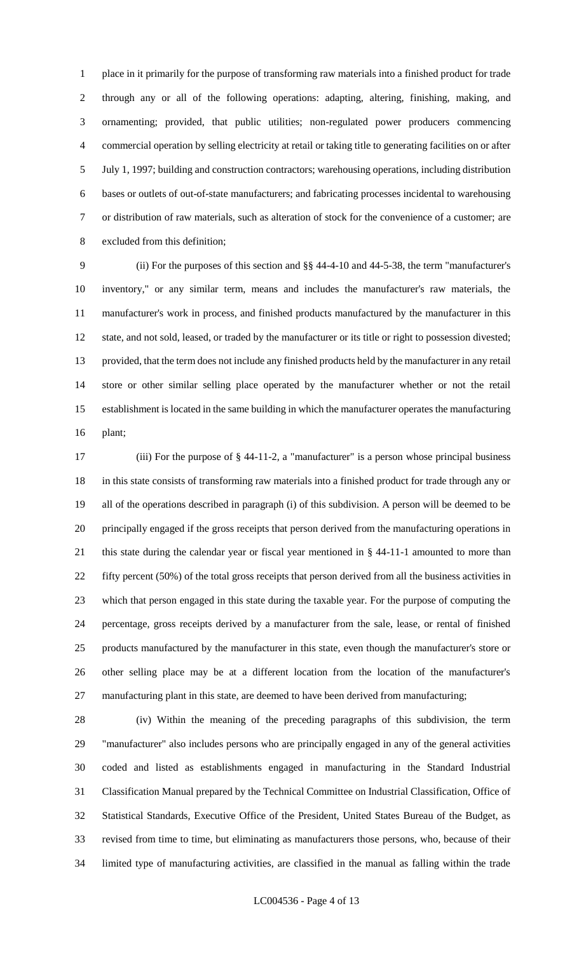place in it primarily for the purpose of transforming raw materials into a finished product for trade through any or all of the following operations: adapting, altering, finishing, making, and ornamenting; provided, that public utilities; non-regulated power producers commencing commercial operation by selling electricity at retail or taking title to generating facilities on or after July 1, 1997; building and construction contractors; warehousing operations, including distribution bases or outlets of out-of-state manufacturers; and fabricating processes incidental to warehousing or distribution of raw materials, such as alteration of stock for the convenience of a customer; are excluded from this definition;

 (ii) For the purposes of this section and §§ 44-4-10 and 44-5-38, the term "manufacturer's inventory," or any similar term, means and includes the manufacturer's raw materials, the manufacturer's work in process, and finished products manufactured by the manufacturer in this state, and not sold, leased, or traded by the manufacturer or its title or right to possession divested; provided, that the term does not include any finished products held by the manufacturer in any retail store or other similar selling place operated by the manufacturer whether or not the retail establishment is located in the same building in which the manufacturer operates the manufacturing plant;

 (iii) For the purpose of § 44-11-2, a "manufacturer" is a person whose principal business in this state consists of transforming raw materials into a finished product for trade through any or all of the operations described in paragraph (i) of this subdivision. A person will be deemed to be principally engaged if the gross receipts that person derived from the manufacturing operations in this state during the calendar year or fiscal year mentioned in § 44-11-1 amounted to more than fifty percent (50%) of the total gross receipts that person derived from all the business activities in which that person engaged in this state during the taxable year. For the purpose of computing the percentage, gross receipts derived by a manufacturer from the sale, lease, or rental of finished products manufactured by the manufacturer in this state, even though the manufacturer's store or other selling place may be at a different location from the location of the manufacturer's manufacturing plant in this state, are deemed to have been derived from manufacturing;

 (iv) Within the meaning of the preceding paragraphs of this subdivision, the term "manufacturer" also includes persons who are principally engaged in any of the general activities coded and listed as establishments engaged in manufacturing in the Standard Industrial Classification Manual prepared by the Technical Committee on Industrial Classification, Office of Statistical Standards, Executive Office of the President, United States Bureau of the Budget, as revised from time to time, but eliminating as manufacturers those persons, who, because of their limited type of manufacturing activities, are classified in the manual as falling within the trade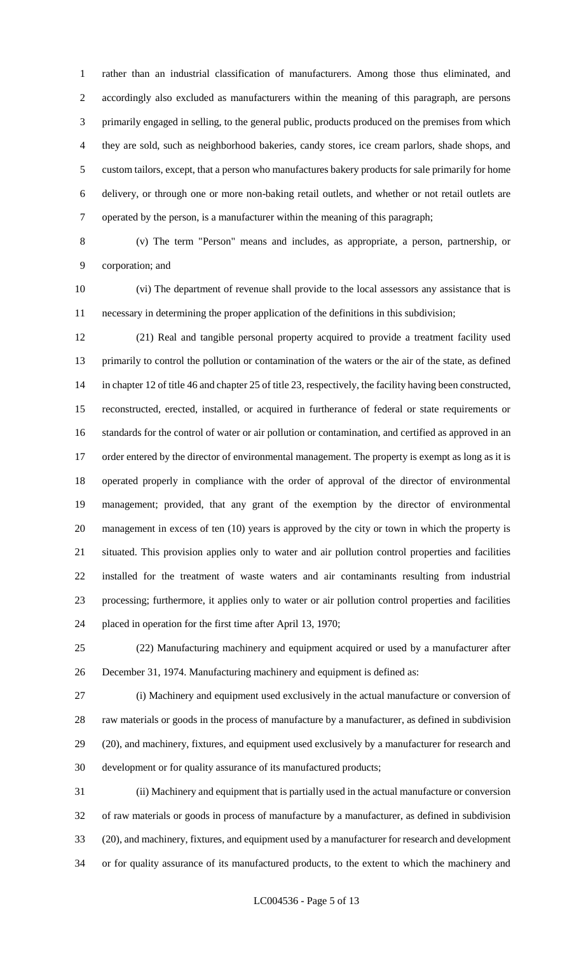rather than an industrial classification of manufacturers. Among those thus eliminated, and accordingly also excluded as manufacturers within the meaning of this paragraph, are persons primarily engaged in selling, to the general public, products produced on the premises from which they are sold, such as neighborhood bakeries, candy stores, ice cream parlors, shade shops, and custom tailors, except, that a person who manufactures bakery products for sale primarily for home delivery, or through one or more non-baking retail outlets, and whether or not retail outlets are operated by the person, is a manufacturer within the meaning of this paragraph;

 (v) The term "Person" means and includes, as appropriate, a person, partnership, or corporation; and

 (vi) The department of revenue shall provide to the local assessors any assistance that is necessary in determining the proper application of the definitions in this subdivision;

 (21) Real and tangible personal property acquired to provide a treatment facility used primarily to control the pollution or contamination of the waters or the air of the state, as defined in chapter 12 of title 46 and chapter 25 of title 23, respectively, the facility having been constructed, reconstructed, erected, installed, or acquired in furtherance of federal or state requirements or standards for the control of water or air pollution or contamination, and certified as approved in an 17 order entered by the director of environmental management. The property is exempt as long as it is operated properly in compliance with the order of approval of the director of environmental management; provided, that any grant of the exemption by the director of environmental management in excess of ten (10) years is approved by the city or town in which the property is situated. This provision applies only to water and air pollution control properties and facilities installed for the treatment of waste waters and air contaminants resulting from industrial processing; furthermore, it applies only to water or air pollution control properties and facilities placed in operation for the first time after April 13, 1970;

 (22) Manufacturing machinery and equipment acquired or used by a manufacturer after December 31, 1974. Manufacturing machinery and equipment is defined as:

 (i) Machinery and equipment used exclusively in the actual manufacture or conversion of raw materials or goods in the process of manufacture by a manufacturer, as defined in subdivision (20), and machinery, fixtures, and equipment used exclusively by a manufacturer for research and development or for quality assurance of its manufactured products;

 (ii) Machinery and equipment that is partially used in the actual manufacture or conversion of raw materials or goods in process of manufacture by a manufacturer, as defined in subdivision (20), and machinery, fixtures, and equipment used by a manufacturer for research and development or for quality assurance of its manufactured products, to the extent to which the machinery and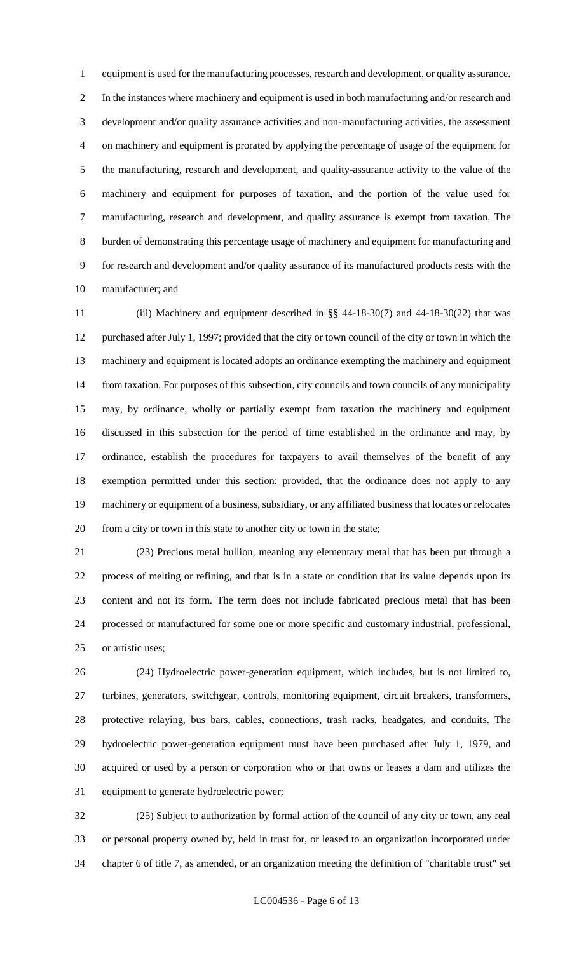equipment is used for the manufacturing processes, research and development, or quality assurance. In the instances where machinery and equipment is used in both manufacturing and/or research and development and/or quality assurance activities and non-manufacturing activities, the assessment on machinery and equipment is prorated by applying the percentage of usage of the equipment for the manufacturing, research and development, and quality-assurance activity to the value of the machinery and equipment for purposes of taxation, and the portion of the value used for manufacturing, research and development, and quality assurance is exempt from taxation. The burden of demonstrating this percentage usage of machinery and equipment for manufacturing and for research and development and/or quality assurance of its manufactured products rests with the manufacturer; and

 (iii) Machinery and equipment described in §§ 44-18-30(7) and 44-18-30(22) that was purchased after July 1, 1997; provided that the city or town council of the city or town in which the machinery and equipment is located adopts an ordinance exempting the machinery and equipment from taxation. For purposes of this subsection, city councils and town councils of any municipality may, by ordinance, wholly or partially exempt from taxation the machinery and equipment discussed in this subsection for the period of time established in the ordinance and may, by ordinance, establish the procedures for taxpayers to avail themselves of the benefit of any exemption permitted under this section; provided, that the ordinance does not apply to any machinery or equipment of a business, subsidiary, or any affiliated business that locates or relocates from a city or town in this state to another city or town in the state;

 (23) Precious metal bullion, meaning any elementary metal that has been put through a process of melting or refining, and that is in a state or condition that its value depends upon its content and not its form. The term does not include fabricated precious metal that has been processed or manufactured for some one or more specific and customary industrial, professional, or artistic uses;

 (24) Hydroelectric power-generation equipment, which includes, but is not limited to, turbines, generators, switchgear, controls, monitoring equipment, circuit breakers, transformers, protective relaying, bus bars, cables, connections, trash racks, headgates, and conduits. The hydroelectric power-generation equipment must have been purchased after July 1, 1979, and acquired or used by a person or corporation who or that owns or leases a dam and utilizes the equipment to generate hydroelectric power;

 (25) Subject to authorization by formal action of the council of any city or town, any real or personal property owned by, held in trust for, or leased to an organization incorporated under chapter 6 of title 7, as amended, or an organization meeting the definition of "charitable trust" set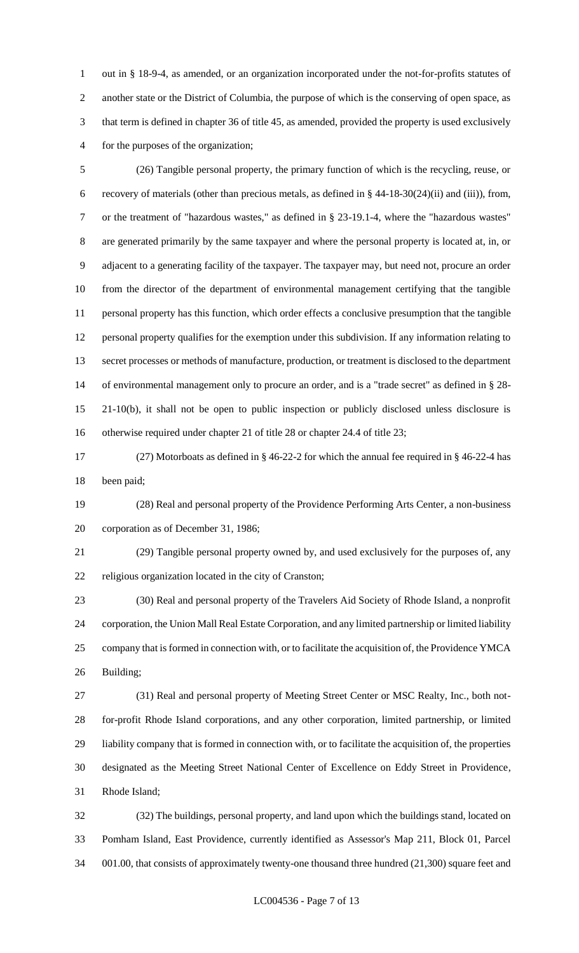out in § 18-9-4, as amended, or an organization incorporated under the not-for-profits statutes of another state or the District of Columbia, the purpose of which is the conserving of open space, as that term is defined in chapter 36 of title 45, as amended, provided the property is used exclusively for the purposes of the organization;

 (26) Tangible personal property, the primary function of which is the recycling, reuse, or recovery of materials (other than precious metals, as defined in § 44-18-30(24)(ii) and (iii)), from, or the treatment of "hazardous wastes," as defined in § 23-19.1-4, where the "hazardous wastes" are generated primarily by the same taxpayer and where the personal property is located at, in, or adjacent to a generating facility of the taxpayer. The taxpayer may, but need not, procure an order from the director of the department of environmental management certifying that the tangible personal property has this function, which order effects a conclusive presumption that the tangible personal property qualifies for the exemption under this subdivision. If any information relating to secret processes or methods of manufacture, production, or treatment is disclosed to the department of environmental management only to procure an order, and is a "trade secret" as defined in § 28- 21-10(b), it shall not be open to public inspection or publicly disclosed unless disclosure is otherwise required under chapter 21 of title 28 or chapter 24.4 of title 23;

 (27) Motorboats as defined in § 46-22-2 for which the annual fee required in § 46-22-4 has been paid;

 (28) Real and personal property of the Providence Performing Arts Center, a non-business corporation as of December 31, 1986;

 (29) Tangible personal property owned by, and used exclusively for the purposes of, any religious organization located in the city of Cranston;

 (30) Real and personal property of the Travelers Aid Society of Rhode Island, a nonprofit corporation, the Union Mall Real Estate Corporation, and any limited partnership or limited liability company that is formed in connection with, or to facilitate the acquisition of, the Providence YMCA Building;

 (31) Real and personal property of Meeting Street Center or MSC Realty, Inc., both not- for-profit Rhode Island corporations, and any other corporation, limited partnership, or limited liability company that is formed in connection with, or to facilitate the acquisition of, the properties designated as the Meeting Street National Center of Excellence on Eddy Street in Providence, Rhode Island;

 (32) The buildings, personal property, and land upon which the buildings stand, located on Pomham Island, East Providence, currently identified as Assessor's Map 211, Block 01, Parcel 001.00, that consists of approximately twenty-one thousand three hundred (21,300) square feet and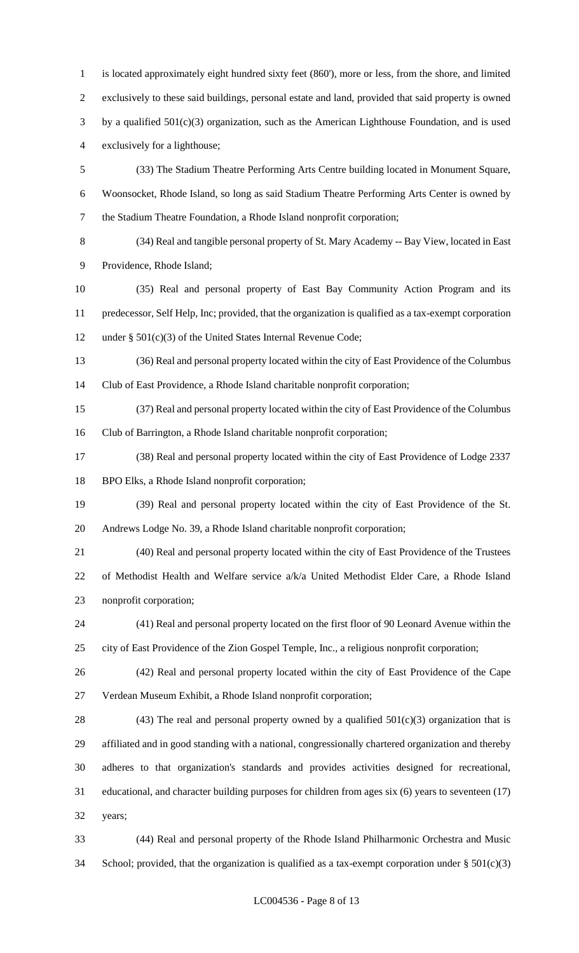is located approximately eight hundred sixty feet (860'), more or less, from the shore, and limited exclusively to these said buildings, personal estate and land, provided that said property is owned by a qualified 501(c)(3) organization, such as the American Lighthouse Foundation, and is used exclusively for a lighthouse; (33) The Stadium Theatre Performing Arts Centre building located in Monument Square, Woonsocket, Rhode Island, so long as said Stadium Theatre Performing Arts Center is owned by the Stadium Theatre Foundation, a Rhode Island nonprofit corporation; (34) Real and tangible personal property of St. Mary Academy -- Bay View, located in East Providence, Rhode Island; (35) Real and personal property of East Bay Community Action Program and its

 predecessor, Self Help, Inc; provided, that the organization is qualified as a tax-exempt corporation under § 501(c)(3) of the United States Internal Revenue Code;

 (36) Real and personal property located within the city of East Providence of the Columbus Club of East Providence, a Rhode Island charitable nonprofit corporation;

 (37) Real and personal property located within the city of East Providence of the Columbus Club of Barrington, a Rhode Island charitable nonprofit corporation;

 (38) Real and personal property located within the city of East Providence of Lodge 2337 BPO Elks, a Rhode Island nonprofit corporation;

 (39) Real and personal property located within the city of East Providence of the St. Andrews Lodge No. 39, a Rhode Island charitable nonprofit corporation;

 (40) Real and personal property located within the city of East Providence of the Trustees of Methodist Health and Welfare service a/k/a United Methodist Elder Care, a Rhode Island nonprofit corporation;

 (41) Real and personal property located on the first floor of 90 Leonard Avenue within the city of East Providence of the Zion Gospel Temple, Inc., a religious nonprofit corporation;

 (42) Real and personal property located within the city of East Providence of the Cape Verdean Museum Exhibit, a Rhode Island nonprofit corporation;

28 (43) The real and personal property owned by a qualified  $501(c)(3)$  organization that is affiliated and in good standing with a national, congressionally chartered organization and thereby adheres to that organization's standards and provides activities designed for recreational, educational, and character building purposes for children from ages six (6) years to seventeen (17) years;

 (44) Real and personal property of the Rhode Island Philharmonic Orchestra and Music 34 School; provided, that the organization is qualified as a tax-exempt corporation under  $\S 501(c)(3)$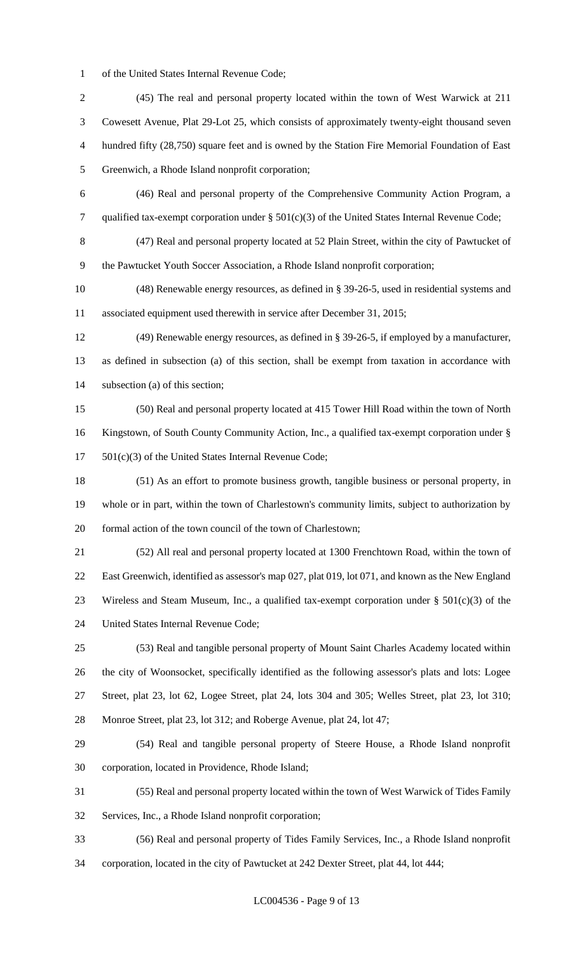of the United States Internal Revenue Code;

 (45) The real and personal property located within the town of West Warwick at 211 Cowesett Avenue, Plat 29-Lot 25, which consists of approximately twenty-eight thousand seven hundred fifty (28,750) square feet and is owned by the Station Fire Memorial Foundation of East Greenwich, a Rhode Island nonprofit corporation; (46) Real and personal property of the Comprehensive Community Action Program, a qualified tax-exempt corporation under § 501(c)(3) of the United States Internal Revenue Code; (47) Real and personal property located at 52 Plain Street, within the city of Pawtucket of the Pawtucket Youth Soccer Association, a Rhode Island nonprofit corporation; (48) Renewable energy resources, as defined in § 39-26-5, used in residential systems and associated equipment used therewith in service after December 31, 2015; (49) Renewable energy resources, as defined in § 39-26-5, if employed by a manufacturer, as defined in subsection (a) of this section, shall be exempt from taxation in accordance with subsection (a) of this section; (50) Real and personal property located at 415 Tower Hill Road within the town of North Kingstown, of South County Community Action, Inc., a qualified tax-exempt corporation under § 501(c)(3) of the United States Internal Revenue Code; (51) As an effort to promote business growth, tangible business or personal property, in whole or in part, within the town of Charlestown's community limits, subject to authorization by formal action of the town council of the town of Charlestown; (52) All real and personal property located at 1300 Frenchtown Road, within the town of East Greenwich, identified as assessor's map 027, plat 019, lot 071, and known as the New England 23 Wireless and Steam Museum, Inc., a qualified tax-exempt corporation under  $\S 501(c)(3)$  of the United States Internal Revenue Code; (53) Real and tangible personal property of Mount Saint Charles Academy located within the city of Woonsocket, specifically identified as the following assessor's plats and lots: Logee Street, plat 23, lot 62, Logee Street, plat 24, lots 304 and 305; Welles Street, plat 23, lot 310; Monroe Street, plat 23, lot 312; and Roberge Avenue, plat 24, lot 47; (54) Real and tangible personal property of Steere House, a Rhode Island nonprofit corporation, located in Providence, Rhode Island; (55) Real and personal property located within the town of West Warwick of Tides Family Services, Inc., a Rhode Island nonprofit corporation; (56) Real and personal property of Tides Family Services, Inc., a Rhode Island nonprofit corporation, located in the city of Pawtucket at 242 Dexter Street, plat 44, lot 444;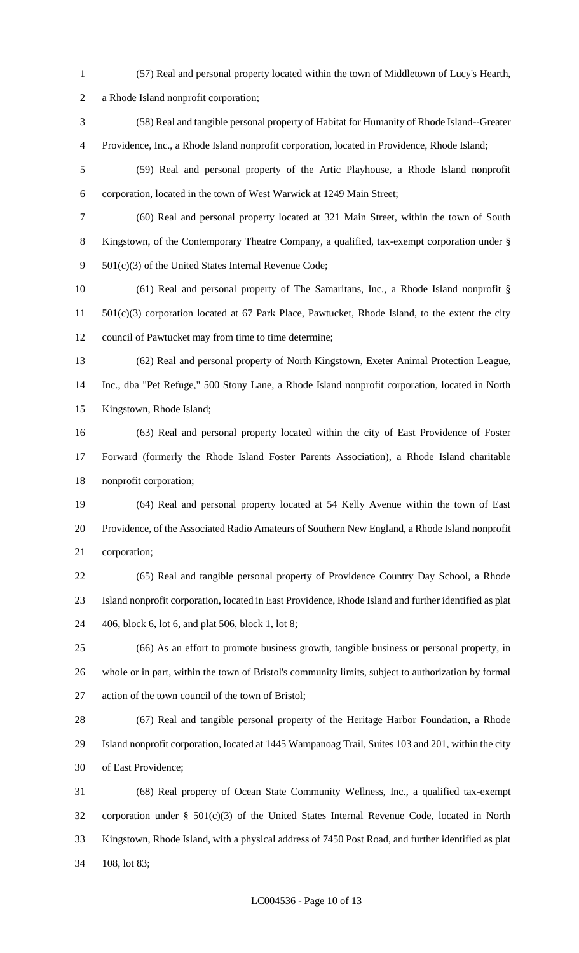- (57) Real and personal property located within the town of Middletown of Lucy's Hearth, a Rhode Island nonprofit corporation; (58) Real and tangible personal property of Habitat for Humanity of Rhode Island--Greater Providence, Inc., a Rhode Island nonprofit corporation, located in Providence, Rhode Island; (59) Real and personal property of the Artic Playhouse, a Rhode Island nonprofit corporation, located in the town of West Warwick at 1249 Main Street; (60) Real and personal property located at 321 Main Street, within the town of South Kingstown, of the Contemporary Theatre Company, a qualified, tax-exempt corporation under § 501(c)(3) of the United States Internal Revenue Code; (61) Real and personal property of The Samaritans, Inc., a Rhode Island nonprofit § 501(c)(3) corporation located at 67 Park Place, Pawtucket, Rhode Island, to the extent the city council of Pawtucket may from time to time determine; (62) Real and personal property of North Kingstown, Exeter Animal Protection League, Inc., dba "Pet Refuge," 500 Stony Lane, a Rhode Island nonprofit corporation, located in North Kingstown, Rhode Island; (63) Real and personal property located within the city of East Providence of Foster Forward (formerly the Rhode Island Foster Parents Association), a Rhode Island charitable nonprofit corporation; (64) Real and personal property located at 54 Kelly Avenue within the town of East Providence, of the Associated Radio Amateurs of Southern New England, a Rhode Island nonprofit corporation; (65) Real and tangible personal property of Providence Country Day School, a Rhode Island nonprofit corporation, located in East Providence, Rhode Island and further identified as plat 406, block 6, lot 6, and plat 506, block 1, lot 8; (66) As an effort to promote business growth, tangible business or personal property, in whole or in part, within the town of Bristol's community limits, subject to authorization by formal action of the town council of the town of Bristol; (67) Real and tangible personal property of the Heritage Harbor Foundation, a Rhode Island nonprofit corporation, located at 1445 Wampanoag Trail, Suites 103 and 201, within the city of East Providence; (68) Real property of Ocean State Community Wellness, Inc., a qualified tax-exempt
- corporation under § 501(c)(3) of the United States Internal Revenue Code, located in North Kingstown, Rhode Island, with a physical address of 7450 Post Road, and further identified as plat 108, lot 83;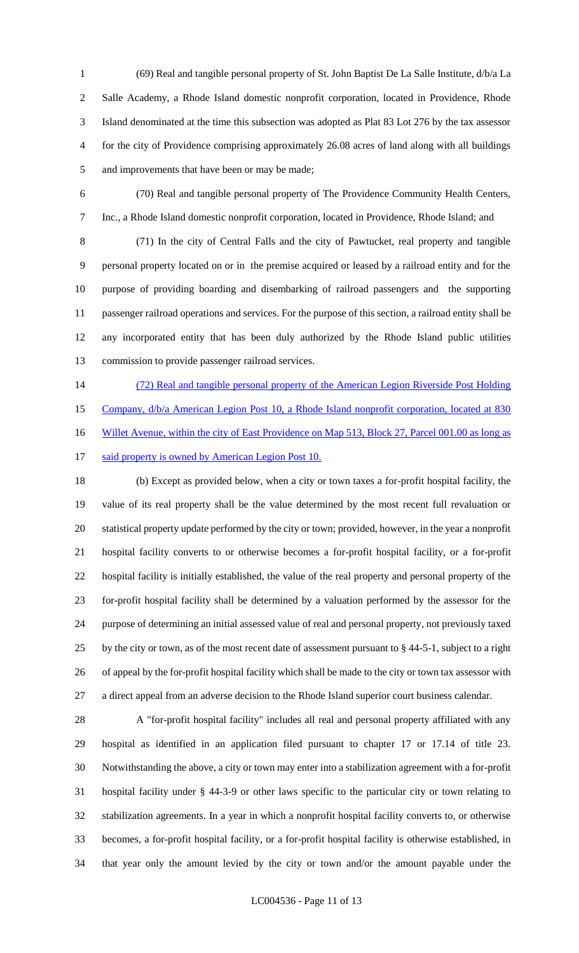(69) Real and tangible personal property of St. John Baptist De La Salle Institute, d/b/a La Salle Academy, a Rhode Island domestic nonprofit corporation, located in Providence, Rhode Island denominated at the time this subsection was adopted as Plat 83 Lot 276 by the tax assessor for the city of Providence comprising approximately 26.08 acres of land along with all buildings and improvements that have been or may be made;

 (70) Real and tangible personal property of The Providence Community Health Centers, Inc., a Rhode Island domestic nonprofit corporation, located in Providence, Rhode Island; and

 (71) In the city of Central Falls and the city of Pawtucket, real property and tangible personal property located on or in the premise acquired or leased by a railroad entity and for the purpose of providing boarding and disembarking of railroad passengers and the supporting passenger railroad operations and services. For the purpose of this section, a railroad entity shall be any incorporated entity that has been duly authorized by the Rhode Island public utilities commission to provide passenger railroad services.

14 (72) Real and tangible personal property of the American Legion Riverside Post Holding

15 Company,  $d/b/a$  American Legion Post 10, a Rhode Island nonprofit corporation, located at 830

16 Willet Avenue, within the city of East Providence on Map 513, Block 27, Parcel 001.00 as long as

17 said property is owned by American Legion Post 10.

 (b) Except as provided below, when a city or town taxes a for-profit hospital facility, the value of its real property shall be the value determined by the most recent full revaluation or statistical property update performed by the city or town; provided, however, in the year a nonprofit hospital facility converts to or otherwise becomes a for-profit hospital facility, or a for-profit hospital facility is initially established, the value of the real property and personal property of the for-profit hospital facility shall be determined by a valuation performed by the assessor for the purpose of determining an initial assessed value of real and personal property, not previously taxed by the city or town, as of the most recent date of assessment pursuant to § 44-5-1, subject to a right of appeal by the for-profit hospital facility which shall be made to the city or town tax assessor with a direct appeal from an adverse decision to the Rhode Island superior court business calendar.

 A "for-profit hospital facility" includes all real and personal property affiliated with any hospital as identified in an application filed pursuant to chapter 17 or 17.14 of title 23. Notwithstanding the above, a city or town may enter into a stabilization agreement with a for-profit hospital facility under § 44-3-9 or other laws specific to the particular city or town relating to stabilization agreements. In a year in which a nonprofit hospital facility converts to, or otherwise becomes, a for-profit hospital facility, or a for-profit hospital facility is otherwise established, in that year only the amount levied by the city or town and/or the amount payable under the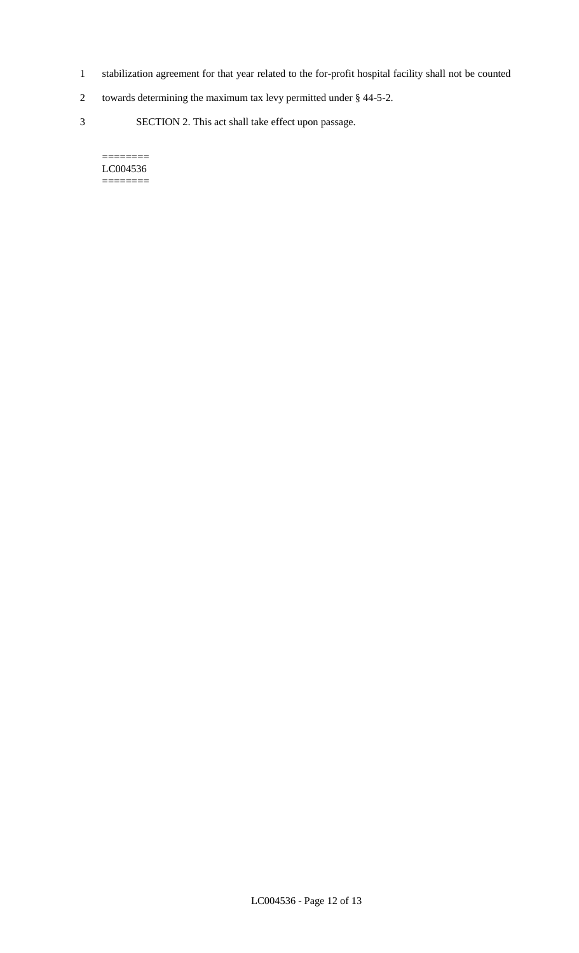- 1 stabilization agreement for that year related to the for-profit hospital facility shall not be counted
- 2 towards determining the maximum tax levy permitted under § 44-5-2.
- 3 SECTION 2. This act shall take effect upon passage.

#### $=$ LC004536 ========